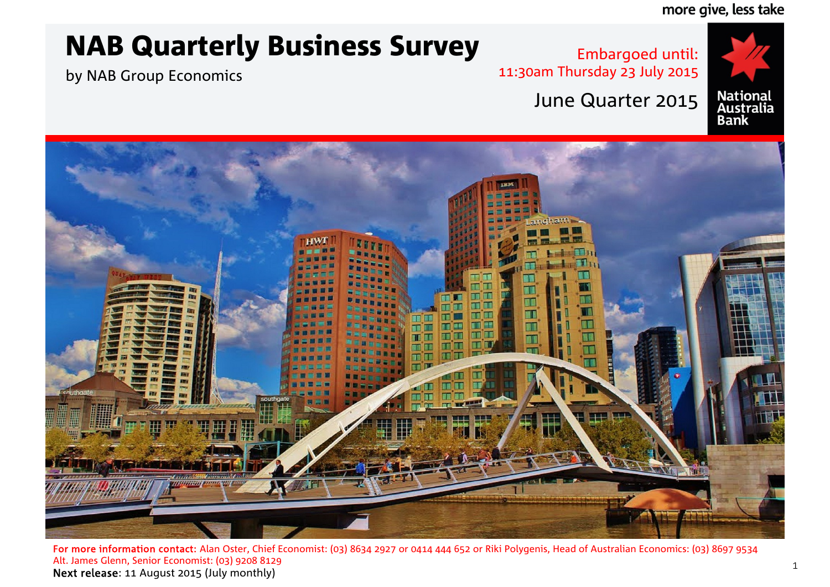more give, less take

# NAB Quarterly Business Survey

by NAB Group Economics

Embargoed until: 11:30am Thursday 23 July 2015



# June Quarter 2015



For more information contact: Alan Oster, Chief Economist: (03) 8634 2927 or 0414 444 652 or Riki Polygenis, Head of Australian Economics: (03) 8697 9534 Alt. James Glenn, Senior Economist: (03) 9208 8129 Next release: 11 August 2015 (July monthly)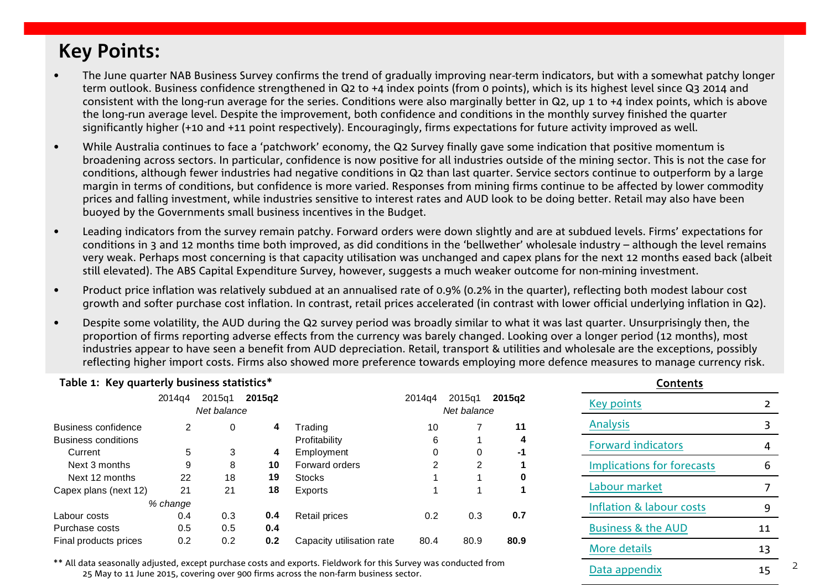# <span id="page-1-0"></span>**Key Points:**

- • The June quarter NAB Business Survey confirms the trend of gradually improving near-term indicators, but with a somewhat patchy longer term outlook. Business confidence strengthened in Q2 to +4 index points (from 0 points), which is its highest level since Q3 2014 and consistent with the long-run average for the series. Conditions were also marginally better in Q2, up 1 to +4 index points, which is above the long-run average level. Despite the improvement, both confidence and conditions in the monthly survey finished the quarter significantly higher (+10 and +11 point respectively). Encouragingly, firms expectations for future activity improved as well.
- • While Australia continues to face a 'patchwork' economy, the Q2 Survey finally gave some indication that positive momentum is broadening across sectors. In particular, confidence is now positive for all industries outside of the mining sector. This is not the case for conditions, although fewer industries had negative conditions in Q2 than last quarter. Service sectors continue to outperform by a large margin in terms of conditions, but confidence is more varied. Responses from mining firms continue to be affected by lower commodity prices and falling investment, while industries sensitive to interest rates and AUD look to be doing better. Retail may also have been buoyed by the Governments small business incentives in the Budget.
- • Leading indicators from the survey remain patchy. Forward orders were down slightly and are at subdued levels. Firms' expectations for conditions in 3 and 12 months time both improved, as did conditions in the 'bellwether' wholesale industry – although the level remains very weak. Perhaps most concerning is that capacity utilisation was unchanged and capex plans for the next 12 months eased back (albeit still elevated). The ABS Capital Expenditure Survey, however, suggests a much weaker outcome for non-mining investment.
- • Product price inflation was relatively subdued at an annualised rate of 0.9% (0.2% in the quarter), reflecting both modest labour cost growth and softer purchase cost inflation. In contrast, retail prices accelerated (in contrast with lower official underlying inflation in Q2).
- • Despite some volatility, the AUD during the Q2 survey period was broadly similar to what it was last quarter. Unsurprisingly then, the proportion of firms reporting adverse effects from the currency was barely changed. Looking over a longer period (12 months), most industries appear to have seen a benefit from AUD depreciation. Retail, transport & utilities and wholesale are the exceptions, possibly reflecting higher import costs. Firms also showed more preference towards employing more defence measures to manage currency risk.

| Table 1: Key quarterly business statistics* |          |                       |        |                                                                                                                 |                    |                       |        | <b>Contents</b>                   |    |
|---------------------------------------------|----------|-----------------------|--------|-----------------------------------------------------------------------------------------------------------------|--------------------|-----------------------|--------|-----------------------------------|----|
|                                             | 2014a4   | 2015q1<br>Net balance | 2015a2 |                                                                                                                 | 2014 <sub>a4</sub> | 2015a1<br>Net balance | 2015q2 | Key points                        |    |
| Business confidence                         | 2        | 0                     | 4      | Trading                                                                                                         | 10                 |                       | 11     | <b>Analysis</b>                   |    |
| <b>Business conditions</b>                  |          |                       |        | Profitability                                                                                                   | 6                  |                       | 4      | <b>Forward indicators</b>         |    |
| Current                                     | 5        | 3                     | 4      | Employment                                                                                                      |                    | 0                     | -1     |                                   | 4  |
| Next 3 months                               | 9        | 8                     | 10     | Forward orders                                                                                                  |                    | 2                     |        | <b>Implications for forecasts</b> | 6  |
| Next 12 months                              | 22       | 18                    | 19     | Stocks                                                                                                          |                    |                       | 0      |                                   |    |
| Capex plans (next 12)                       | 21       | 21                    | 18     | Exports                                                                                                         |                    |                       |        | Labour market                     |    |
|                                             | % change |                       |        |                                                                                                                 |                    |                       |        | Inflation & labour costs          | 9  |
| Labour costs                                | 0.4      | 0.3                   | 0.4    | <b>Retail prices</b>                                                                                            | 0.2                | 0.3                   | 0.7    |                                   |    |
| Purchase costs                              | 0.5      | 0.5                   | 0.4    |                                                                                                                 |                    |                       |        | <b>Business &amp; the AUD</b>     | 11 |
| Final products prices                       | 0.2      | 0.2                   | 0.2    | Capacity utilisation rate                                                                                       | 80.4               | 80.9                  | 80.9   | More details                      | 13 |
|                                             |          |                       |        | ** All data seasonally adjusted except purchase costs and exports. Fieldwork for this Survey was conducted from |                    |                       |        |                                   |    |

 $\frac{1}{25}$  May to 11 June 2015, covering over 900 firms across the non-farm business sector.  $\frac{15}{25}$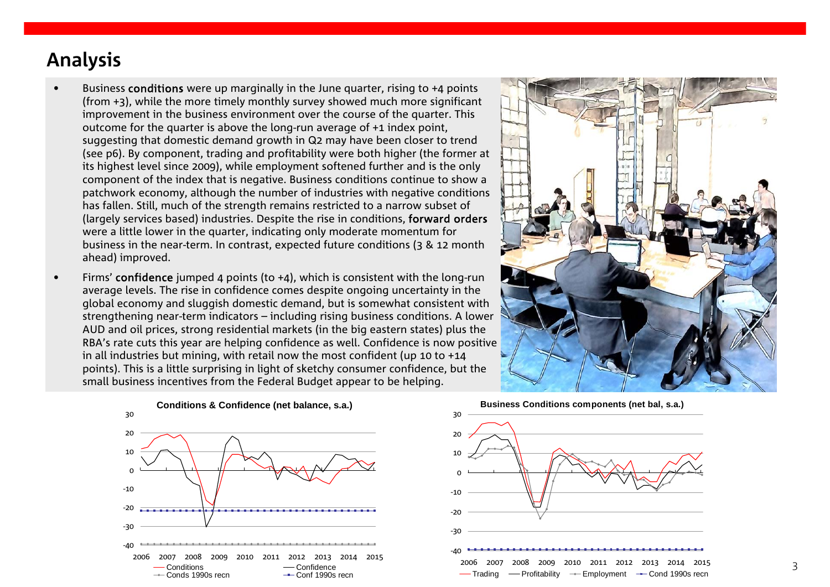# <span id="page-2-0"></span>**Analysis**

- • Business conditions were up marginally in the June quarter, rising to +4 points (from +3), while the more timely monthly survey showed much more significant improvement in the business environment over the course of the quarter. This outcome for the quarter is above the long-run average of +1 index point, suggesting that domestic demand growth in Q2 may have been closer to trend (see p6). By component, trading and profitability were both higher (the former at its highest level since 2009), while employment softened further and is the only component of the index that is negative. Business conditions continue to show a patchwork economy, although the number of industries with negative conditions has fallen. Still, much of the strength remains restricted to a narrow subset of (largely services based) industries. Despite the rise in conditions, forward orders were a little lower in the quarter, indicating only moderate momentum for business in the near-term. In contrast, expected future conditions (3 & 12 month ahead) improved.
- •• Firms' confidence jumped 4 points (to +4), which is consistent with the long-run average levels. The rise in confidence comes despite ongoing uncertainty in the global economy and sluggish domestic demand, but is somewhat consistent with strengthening near-term indicators – including rising business conditions. A lower AUD and oil prices, strong residential markets (in the big eastern states) plus the RBA's rate cuts this year are helping confidence as well. Confidence is now positive in all industries but mining, with retail now the most confident (up 10 to +14 points). This is a little surprising in light of sketchy consumer confidence, but the small business incentives from the Federal Budget appear to be helping.





**Business Conditions components (net bal, s.a.)**

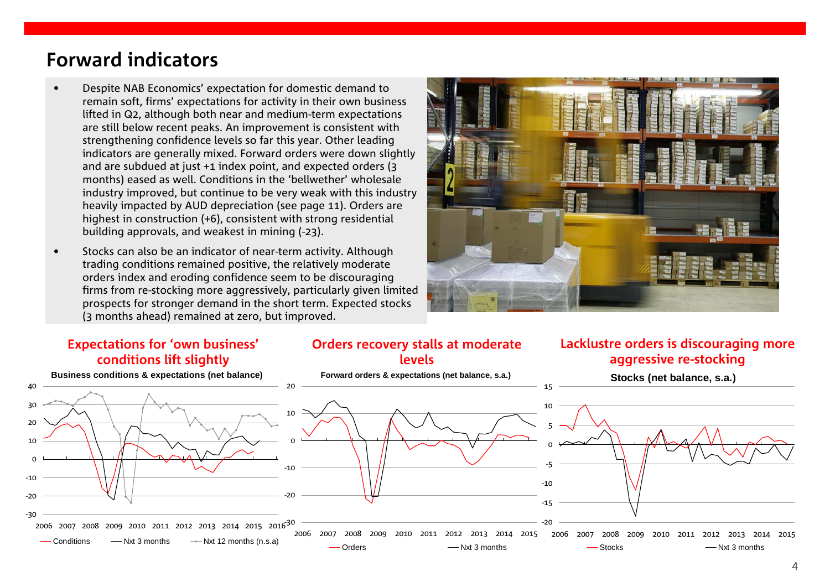# <span id="page-3-0"></span>**Forward indicators**

- • Despite NAB Economics' expectation for domestic demand to remain soft, firms' expectations for activity in their own business lifted in Q2, although both near and medium-term expectations are still below recent peaks. An improvement is consistent with strengthening confidence levels so far this year. Other leading indicators are generally mixed. Forward orders were down slightly and are subdued at just +1 index point, and expected orders (3 months) eased as well. Conditions in the 'bellwether' wholesale industry improved, but continue to be very weak with this industry heavily impacted by AUD depreciation (see page 11). Orders are highest in construction (+6), consistent with strong residential building approvals, and weakest in mining (-23).
- • Stocks can also be an indicator of near-term activity. Although trading conditions remained positive, the relatively moderate orders index and eroding confidence seem to be discouraging firms from re-stocking more aggressively, particularly given limited prospects for stronger demand in the short term. Expected stocks (3 months ahead) remained at zero, but improved.



### **Expectations for 'own business' conditions lift slightly**

#### **Orders recovery stalls at moderate levels**

### **Lacklustre orders is discouraging more aggressive re-stocking**

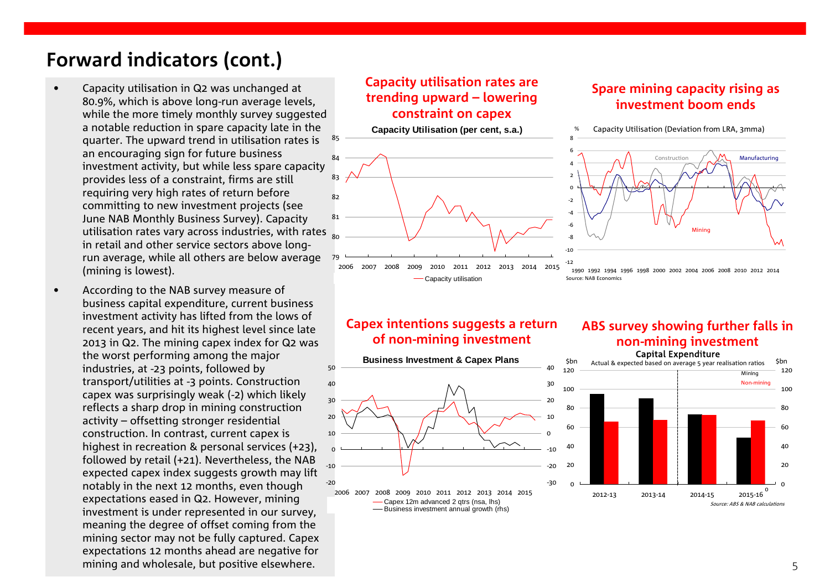# **Forward indicators (cont.)**

•

- • Capacity utilisation in Q2 was unchanged at 80.9%, which is above long-run average levels, while the more timely monthly survey suggested a notable reduction in spare capacity late in the quarter. The upward trend in utilisation rates is an encouraging sign for future business investment activity, but while less spare capacity provides less of a constraint, firms are still requiring very high rates of return before committing to new investment projects (see June NAB Monthly Business Survey). Capacity utilisation rates vary across industries, with rates in retail and other service sectors above longrun average, while all others are below average (mining is lowest). 85
- According to the NAB survey measure of business capital expenditure, current business investment activity has lifted from the lows of recent years, and hit its highest level since late 2013 in Q2. The mining capex index for Q2 was the worst performing among the major industries, at -23 points, followed by transport/utilities at -3 points. Construction capex was surprisingly weak (-2) which likely reflects a sharp drop in mining construction activity – offsetting stronger residential construction. In contrast, current capex is highest in recreation & personal services (+23), followed by retail (+21). Nevertheless, the NAB expected capex index suggests growth may lift notably in the next 12 months, even though expectations eased in Q2. However, mining investment is under represented in our survey, meaning the degree of offset coming from the mining sector may not be fully captured. Capex expectations 12 months ahead are negative for mining and wholesale, but positive elsewhere.

### **Capacity utilisation rates are trending upward – lowering constraint on capex**

#### **Capacity Utilisation (per cent, s.a.)**



## **Spare mining capacity rising as investment boom ends**



<sup>1990</sup> 1992 1994 1996 1998 2000 2002 2004 2006 2008 2010 2012 2014 Source: NAB Economics

### **Capex intentions suggests a return of non-mining investment**



### **ABS survey showing further falls in non-mining investment** Capital Expenditure

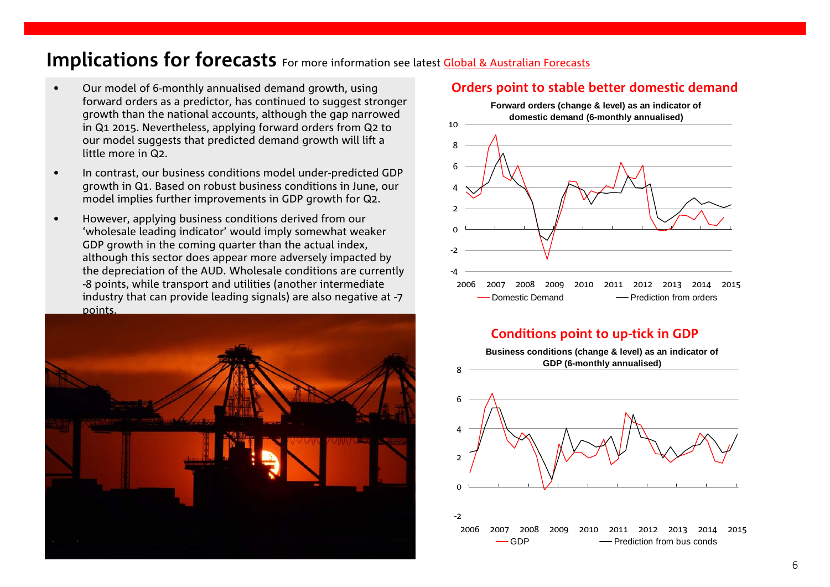## <span id="page-5-0"></span>**Implications for forecasts** For more information see latest Global & Australian Forecasts

- • Our model of 6-monthly annualised demand growth, using forward orders as a predictor, has continued to suggest stronger growth than the national accounts, although the gap narrowed in Q1 2015. Nevertheless, applying forward orders from Q2 to our model suggests that predicted demand growth will lift a little more in Q2.
- • In contrast, our business conditions model under-predicted GDP growth in Q1. Based on robust business conditions in June, our model implies further improvements in GDP growth for Q2.
- • However, applying business conditions derived from our 'wholesale leading indicator' would imply somewhat weaker GDP growth in the coming quarter than the actual index, although this sector does appear more adversely impacted by the depreciation of the AUD. Wholesale conditions are currently -8 points, while transport and utilities (another intermediate industry that can provide leading signals) are also negative at -7 points.



#### **Orders point to stable better domestic demand**



### **Conditions point to up-tick in GDP**

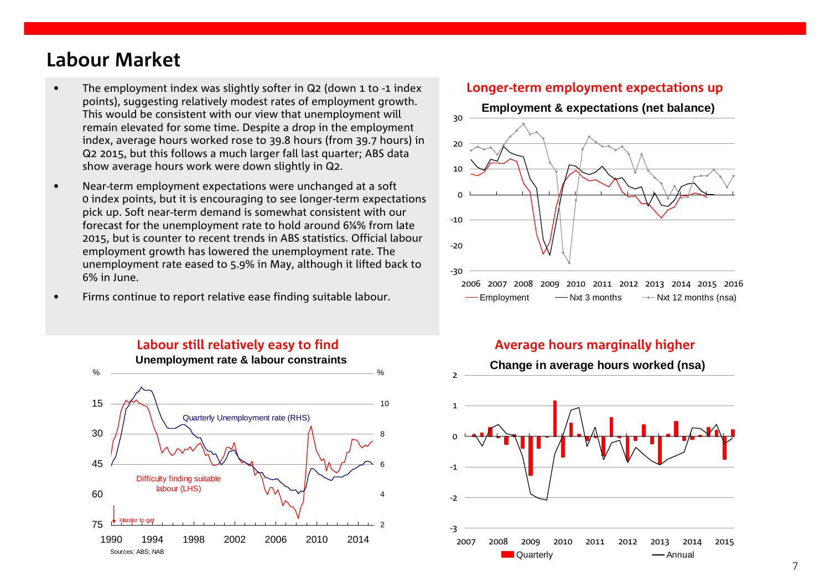# <span id="page-6-0"></span>**Labour Market**

- • The employment index was slightly softer in Q2 (down 1 to -1 index points), suggesting relatively modest rates of employment growth. This would be consistent with our view that unemployment will remain elevated for some time. Despite a drop in the employment index, average hours worked rose to 39.8 hours (from 39.7 hours) in Q2 2015, but this follows a much larger fall last quarter; ABS data show average hours work were down slightly in Q2.
- • Near-term employment expectations were unchanged at a soft 0 index points, but it is encouraging to see longer-term expectations pick up. Soft near-term demand is somewhat consistent with our forecast for the unemployment rate to hold around 6¼% from late 2015, but is counter to recent trends in ABS statistics. Official labour employment growth has lowered the unemployment rate. The unemployment rate eased to 5.9% in May, although it lifted back to 6% in June.
- •Firms continue to report relative ease finding suitable labour.



### **Longer-term employment expectations up**



### **Labour still relatively easy to find Average hours marginally higher**

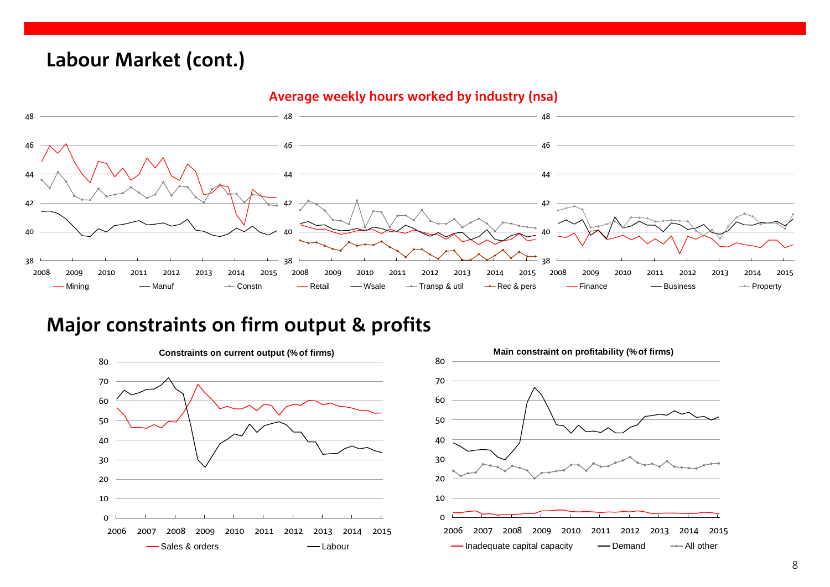# **Labour Market (cont.)**



# **Major constraints on firm output & profits**

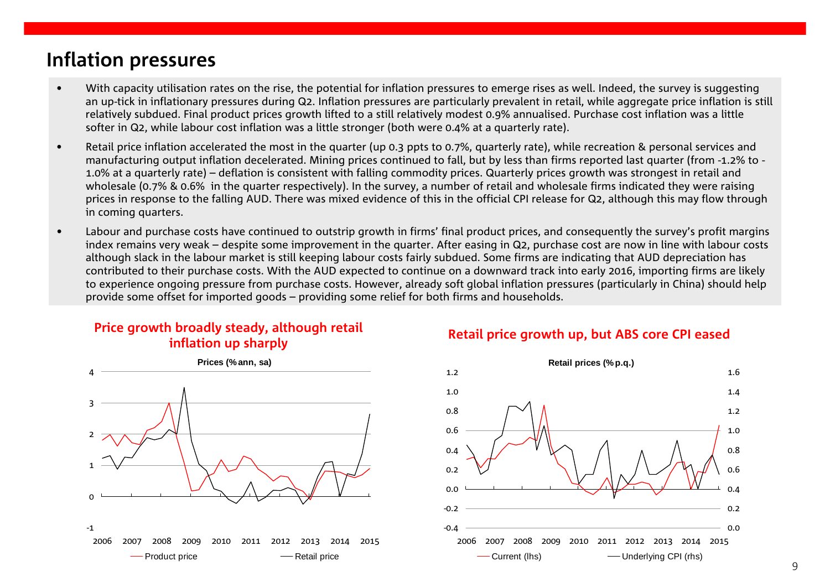# <span id="page-8-0"></span>**Inflation pressures**

- • With capacity utilisation rates on the rise, the potential for inflation pressures to emerge rises as well. Indeed, the survey is suggesting an up-tick in inflationary pressures during Q2. Inflation pressures are particularly prevalent in retail, while aggregate price inflation is still relatively subdued. Final product prices growth lifted to a still relatively modest 0.9% annualised. Purchase cost inflation was a little softer in Q2, while labour cost inflation was a little stronger (both were 0.4% at a quarterly rate).
- • Retail price inflation accelerated the most in the quarter (up 0.3 ppts to 0.7%, quarterly rate), while recreation & personal services and manufacturing output inflation decelerated. Mining prices continued to fall, but by less than firms reported last quarter (from -1.2% to - 1.0% at a quarterly rate) – deflation is consistent with falling commodity prices. Quarterly prices growth was strongest in retail and wholesale (0.7% & 0.6% in the quarter respectively). In the survey, a number of retail and wholesale firms indicated they were raising prices in response to the falling AUD. There was mixed evidence of this in the official CPI release for Q2, although this may flow through in coming quarters.
- • Labour and purchase costs have continued to outstrip growth in firms' final product prices, and consequently the survey's profit margins index remains very weak – despite some improvement in the quarter. After easing in Q2, purchase cost are now in line with labour costs although slack in the labour market is still keeping labour costs fairly subdued. Some firms are indicating that AUD depreciation has contributed to their purchase costs. With the AUD expected to continue on a downward track into early 2016, importing firms are likely to experience ongoing pressure from purchase costs. However, already soft global inflation pressures (particularly in China) should help provide some offset for imported goods – providing some relief for both firms and households.

# **Price growth broadly steady, although retail**



# **inflation up sharply Retail price growth up, but ABS core CPI eased**

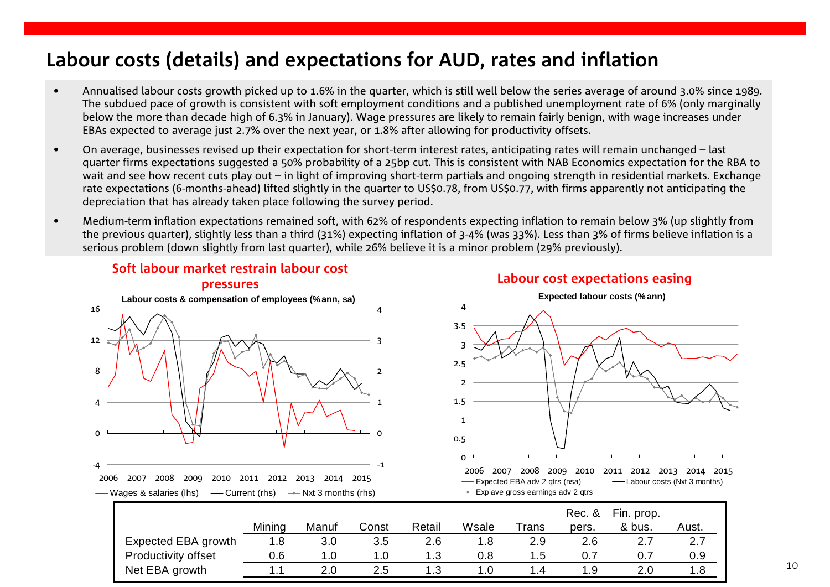# **Labour costs (details) and expectations for AUD, rates and inflation**

- • Annualised labour costs growth picked up to 1.6% in the quarter, which is still well below the series average of around 3.0% since 1989. The subdued pace of growth is consistent with soft employment conditions and a published unemployment rate of 6% (only marginally below the more than decade high of 6.3% in January). Wage pressures are likely to remain fairly benign, with wage increases under EBAs expected to average just 2.7% over the next year, or 1.8% after allowing for productivity offsets.
- • On average, businesses revised up their expectation for short-term interest rates, anticipating rates will remain unchanged – last quarter firms expectations suggested a 50% probability of a 25bp cut. This is consistent with NAB Economics expectation for the RBA to wait and see how recent cuts play out – in light of improving short-term partials and ongoing strength in residential markets. Exchange rate expectations (6-months-ahead) lifted slightly in the quarter to US\$0.78, from US\$0.77, with firms apparently not anticipating the depreciation that has already taken place following the survey period.
- • Medium-term inflation expectations remained soft, with 62% of respondents expecting inflation to remain below 3% (up slightly from the previous quarter), slightly less than a third (31%) expecting inflation of 3-4% (was 33%). Less than 3% of firms believe inflation is a serious problem (down slightly from last quarter), while 26% believe it is a minor problem (29% previously).



## **Soft labour market restrain labour cost**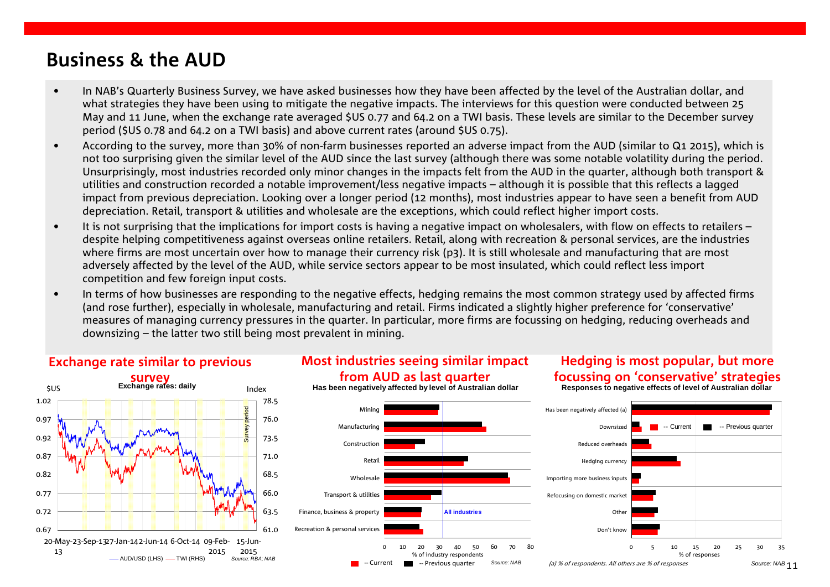# **Business & the AUD**

- • In NAB's Quarterly Business Survey, we have asked businesses how they have been affected by the level of the Australian dollar, and what strategies they have been using to mitigate the negative impacts. The interviews for this question were conducted between 25 May and 11 June, when the exchange rate averaged \$US 0.77 and 64.2 on a TWI basis. These levels are similar to the December survey period (\$US 0.78 and 64.2 on a TWI basis) and above current rates (around \$US 0.75).
- • According to the survey, more than 30% of non-farm businesses reported an adverse impact from the AUD (similar to Q1 2015), which is not too surprising given the similar level of the AUD since the last survey (although there was some notable volatility during the period. Unsurprisingly, most industries recorded only minor changes in the impacts felt from the AUD in the quarter, although both transport & utilities and construction recorded a notable improvement/less negative impacts – although it is possible that this reflects a lagged impact from previous depreciation. Looking over a longer period (12 months), most industries appear to have seen a benefit from AUD depreciation. Retail, transport & utilities and wholesale are the exceptions, which could reflect higher import costs.
- • It is not surprising that the implications for import costs is having a negative impact on wholesalers, with flow on effects to retailers – despite helping competitiveness against overseas online retailers. Retail, along with recreation & personal services, are the industries where firms are most uncertain over how to manage their currency risk (p3). It is still wholesale and manufacturing that are most adversely affected by the level of the AUD, while service sectors appear to be most insulated, which could reflect less import competition and few foreign input costs.
- • In terms of how businesses are responding to the negative effects, hedging remains the most common strategy used by affected firms (and rose further), especially in wholesale, manufacturing and retail. Firms indicated a slightly higher preference for 'conservative' measures of managing currency pressures in the quarter. In particular, more firms are focussing on hedging, reducing overheads and downsizing – the latter two still being most prevalent in mining.



### **Exchange rate similar to previous**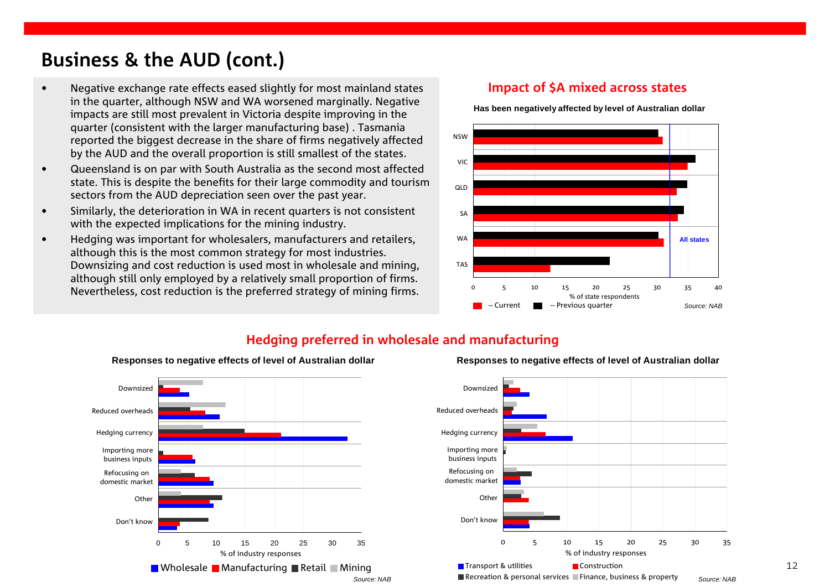# **Business & the AUD (cont.)**

- • Negative exchange rate effects eased slightly for most mainland states in the quarter, although NSW and WA worsened marginally. Negative impacts are still most prevalent in Victoria despite improving in the quarter (consistent with the larger manufacturing base) . Tasmania reported the biggest decrease in the share of firms negatively affected by the AUD and the overall proportion is still smallest of the states.
- • Queensland is on par with South Australia as the second most affected state. This is despite the benefits for their large commodity and tourism sectors from the AUD depreciation seen over the past year.
- • Similarly, the deterioration in WA in recent quarters is not consistent with the expected implications for the mining industry.
- • Hedging was important for wholesalers, manufacturers and retailers, although this is the most common strategy for most industries. Downsizing and cost reduction is used most in wholesale and mining, although still only employed by a relatively small proportion of firms. Nevertheless, cost reduction is the preferred strategy of mining firms.

### **Impact of \$A mixed across states**

**Has been negatively affected by level of Australian dollar**



#### **Hedging preferred in wholesale and manufacturing**



#### **Responses to negative effects of level of Australian dollar**



**Responses to negative effects of level of Australian dollar**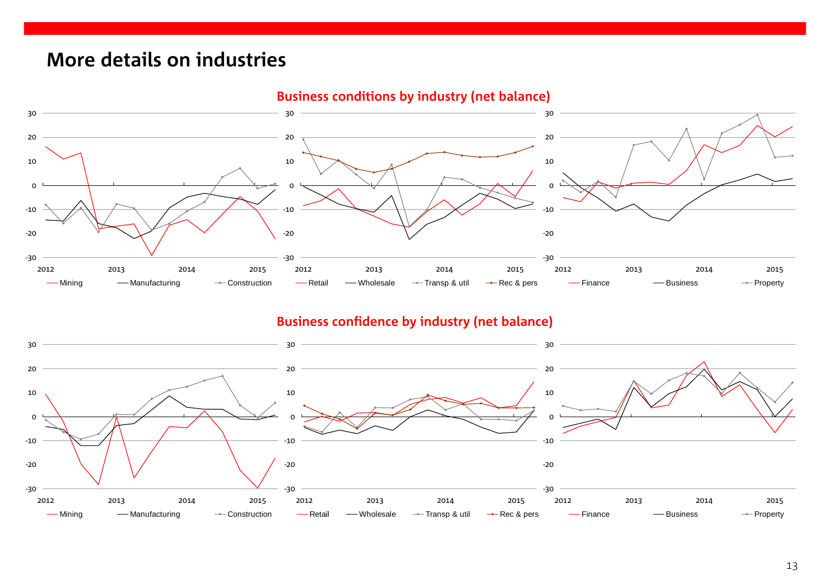# <span id="page-12-0"></span>**More details on industries**



### **Business confidence by industry (net balance)**

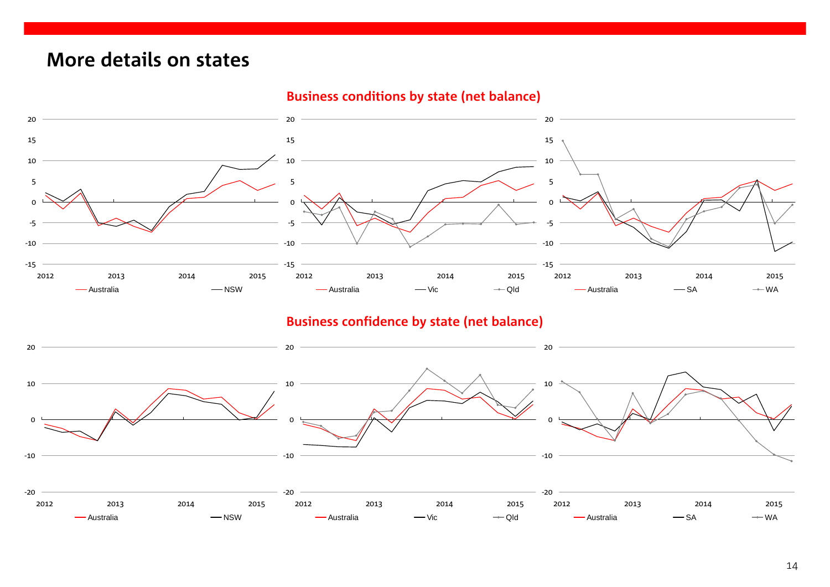# **More details on states**



### **Business conditions by state (net balance)**

### **Business confidence by state (net balance)**

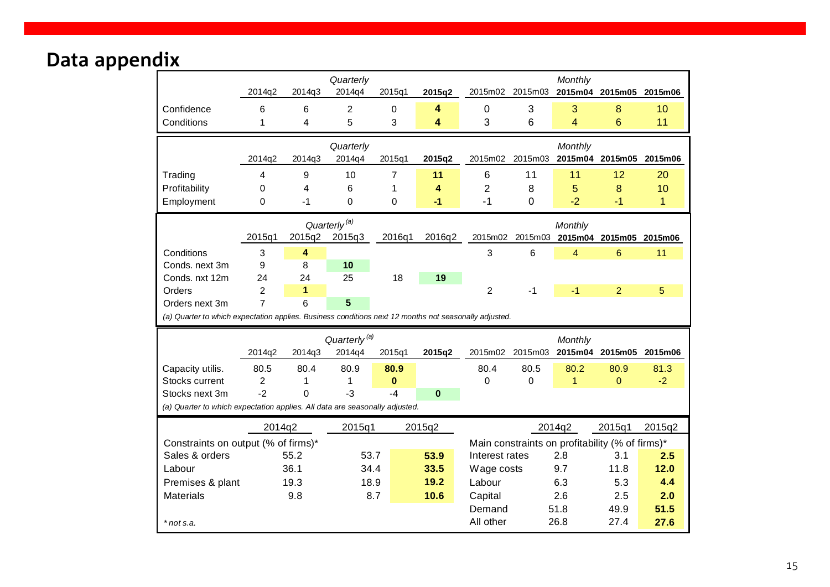# <span id="page-14-0"></span>Data appendix

|                                                                                                       |                |        | Quarterly                |          |             |                |                                                 | Monthly                         |                         |              |  |
|-------------------------------------------------------------------------------------------------------|----------------|--------|--------------------------|----------|-------------|----------------|-------------------------------------------------|---------------------------------|-------------------------|--------------|--|
|                                                                                                       | 2014q2         | 2014q3 | 2014q4                   | 2015q1   | 2015q2      |                | 2015m02 2015m03                                 |                                 | 2015m04 2015m05 2015m06 |              |  |
| Confidence                                                                                            | 6              | 6      | $\overline{2}$           | 0        | 4           | $\mathbf 0$    | 3                                               | 3                               | 8                       | 10           |  |
| Conditions                                                                                            | 1              | 4      | 5                        | 3        | 4           | 3              | 6                                               | $\overline{4}$                  | 6                       | 11           |  |
|                                                                                                       |                |        | Quarterly                |          |             |                |                                                 | Monthly                         |                         |              |  |
|                                                                                                       | 2014q2         | 2014q3 | 2014q4                   | 2015q1   | 2015q2      |                | 2015m02 2015m03                                 |                                 | 2015m04 2015m05 2015m06 |              |  |
| Trading                                                                                               | 4              | 9      | 10                       | 7        | 11          | 6              | 11                                              | 11                              | 12                      | 20           |  |
| Profitability                                                                                         | 0              | 4      | 6                        | 1        | 4           | $\overline{2}$ | 8                                               | 5                               | 8                       | 10           |  |
| Employment                                                                                            | 0              | -1     | $\Omega$                 | 0        | $-1$        | $-1$           | $\Omega$                                        | $-2$                            | $-1$                    | $\mathbf{1}$ |  |
| Quarterly <sup>(a)</sup>                                                                              |                |        |                          |          |             |                |                                                 | Monthly                         |                         |              |  |
|                                                                                                       | 2015q1         | 2015q2 | 2015q3                   | 2016q1   | 2016q2      | 2015m02        |                                                 | 2015m03 2015m04 2015m05 2015m06 |                         |              |  |
| Conditions                                                                                            | 3              | 4      |                          |          |             | 3              | $6\phantom{1}6$                                 | $\overline{4}$                  | $6\phantom{a}$          | 11           |  |
| Conds. next 3m                                                                                        | 9              | 8      | 10                       |          |             |                |                                                 |                                 |                         |              |  |
| Conds. nxt 12m                                                                                        | 24             | 24     | 25                       | 18       | 19          |                |                                                 |                                 |                         |              |  |
| Orders                                                                                                | $\overline{2}$ | 1      |                          |          |             | $\overline{2}$ | -1                                              | $-1$                            | $\overline{2}$          | 5            |  |
| Orders next 3m                                                                                        | $\overline{7}$ | 6      | 5                        |          |             |                |                                                 |                                 |                         |              |  |
| (a) Quarter to which expectation applies. Business conditions next 12 months not seasonally adjusted. |                |        |                          |          |             |                |                                                 |                                 |                         |              |  |
|                                                                                                       |                |        | Quarterly <sup>(a)</sup> |          |             | Monthly        |                                                 |                                 |                         |              |  |
|                                                                                                       | 2014q2         | 2014q3 | 2014q4                   | 2015q1   | 2015q2      |                | 2015m02 2015m03                                 |                                 | 2015m04 2015m05 2015m06 |              |  |
| Capacity utilis.                                                                                      | 80.5           | 80.4   | 80.9                     | 80.9     |             | 80.4           | 80.5                                            | 80.2                            | 80.9                    | 81.3         |  |
| Stocks current                                                                                        | 2              | 1      | 1                        | $\bf{0}$ |             | 0              | 0                                               | $\mathbf{1}$                    | $\Omega$                | $-2$         |  |
| Stocks next 3m                                                                                        | $-2$           | 0      | $-3$                     | $-4$     | $\mathbf 0$ |                |                                                 |                                 |                         |              |  |
| (a) Quarter to which expectation applies. All data are seasonally adjusted.                           |                |        |                          |          |             |                |                                                 |                                 |                         |              |  |
|                                                                                                       | 2014q2         |        | 2015q1                   |          | 2015q2      |                |                                                 | 2014q2                          | 2015q1                  | 2015q2       |  |
| Constraints on output (% of firms)*                                                                   |                |        |                          |          |             |                | Main constraints on profitability (% of firms)* |                                 |                         |              |  |
| Sales & orders<br>55.2                                                                                |                |        | 53.7                     |          | 53.9        | Interest rates | 2.8                                             |                                 | 3.1                     | 2.5          |  |
| Labour                                                                                                |                | 36.1   | 34.4                     |          | 33.5        | Wage costs     |                                                 | 9.7                             | 11.8                    | 12.0         |  |
| Premises & plant                                                                                      |                | 19.3   | 18.9                     |          | 19.2        | Labour         |                                                 | 6.3                             | 5.3                     | 4.4          |  |
| <b>Materials</b>                                                                                      |                | 9.8    |                          | 8.7      | 10.6        | Capital        |                                                 | 2.6                             | 2.5                     | 2.0          |  |
|                                                                                                       |                |        |                          |          |             | Demand         |                                                 | 51.8                            | 49.9                    | 51.5         |  |
| * not s.a.                                                                                            |                |        |                          |          |             | All other      |                                                 | 26.8                            | 27.4                    | 27.6         |  |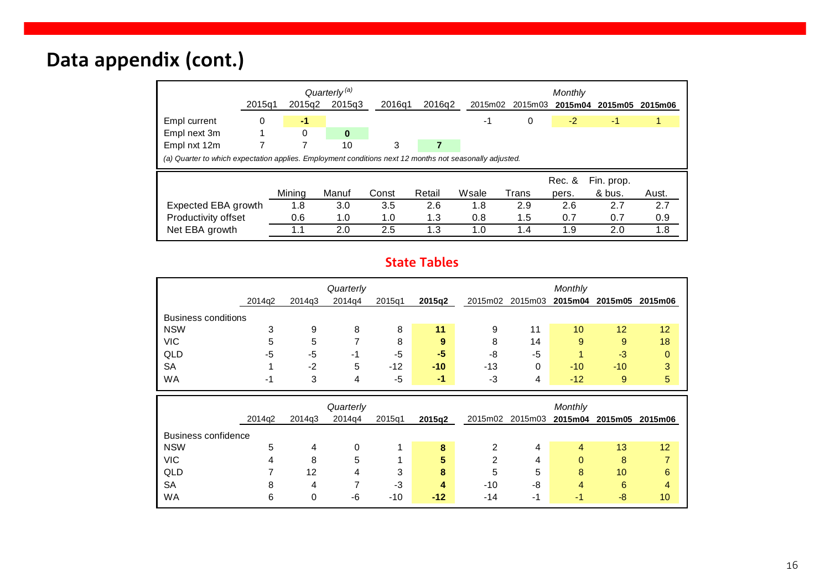# **Data appendix (cont.)**

|                                                                                                         | 2015q1 | 2015g2 | Quarterly <sup>(a)</sup><br>2015q3 | 2016q1 | 2016q2 | 2015m02 | 2015m03 | Monthly<br>2015m04 | 2015m05    | 2015m06 |
|---------------------------------------------------------------------------------------------------------|--------|--------|------------------------------------|--------|--------|---------|---------|--------------------|------------|---------|
| Empl current                                                                                            | 0      | $-1$   |                                    |        |        | -1      | 0       | $-2$               | $-1$       |         |
| Empl next 3m                                                                                            |        | 0      | $\bf{0}$                           |        |        |         |         |                    |            |         |
| Empl nxt 12m                                                                                            |        |        | 10                                 | 3      |        |         |         |                    |            |         |
| (a) Quarter to which expectation applies. Employment conditions next 12 months not seasonally adjusted. |        |        |                                    |        |        |         |         |                    |            |         |
|                                                                                                         |        |        |                                    |        |        |         |         | Rec. &             | Fin. prop. |         |
|                                                                                                         |        |        |                                    |        |        |         |         |                    |            |         |
|                                                                                                         |        | Mining | Manuf                              | Const  | Retail | Wsale   | Trans   | pers.              | & bus.     | Aust.   |
| Expected EBA growth                                                                                     |        | 1.8    | 3.0                                | 3.5    | 2.6    | 1.8     | 2.9     | 2.6                | 2.7        | 2.7     |
| Productivity offset                                                                                     |        | 0.6    | 1.0                                | 1.0    | 1.3    | 0.8     | 1.5     | 0.7                | 0.7        | 0.9     |

### **State Tables**

|                            |        |        | Quarterly |        |        | Monthly |         |                 |         |         |  |
|----------------------------|--------|--------|-----------|--------|--------|---------|---------|-----------------|---------|---------|--|
|                            | 2014g2 | 2014g3 | 2014q4    | 2015q1 | 2015q2 | 2015m02 | 2015m03 | 2015m04         | 2015m05 | 2015m06 |  |
| <b>Business conditions</b> |        |        |           |        |        |         |         |                 |         |         |  |
| <b>NSW</b>                 | 3      | 9      | 8         | 8      | 11     | 9       | 11      | 10 <sup>°</sup> | 12      | 12      |  |
| <b>VIC</b>                 | 5      | 5      |           | 8      | 9      | 8       | 14      | 9               | 9       | 18      |  |
| QLD                        | -5     | -5     | -1        | -5     | -5     | -8      | -5      |                 | $-3$    | 0       |  |
| <b>SA</b>                  |        | $-2$   | 5         | $-12$  | $-10$  | $-13$   | 0       | $-10$           | $-10$   | 3       |  |
| <b>WA</b>                  | $-1$   | 3      | 4         | -5     | -1     | -3      | 4       | $-12$           | 9       | 5       |  |

|                            |        |        | Quarterly |        |        | Monthly |    |                         |    |         |  |
|----------------------------|--------|--------|-----------|--------|--------|---------|----|-------------------------|----|---------|--|
|                            | 2014g2 | 2014q3 | 2014q4    | 2015q1 | 2015q2 | 2015m02 |    | 2015m03 2015m04 2015m05 |    | 2015m06 |  |
| <b>Business confidence</b> |        |        |           |        |        |         |    |                         |    |         |  |
| <b>NSW</b>                 | 5      | 4      | 0         |        | 8      |         | 4  | 4                       | 13 | 12      |  |
| <b>VIC</b>                 | 4      | 8      | 5         |        | 5      | 2       | 4  | 0                       | 8  | 7       |  |
| QLD                        |        | 12     | 4         | 3      | 8      | 5       | 5  | 8                       | 10 | 6       |  |
| <b>SA</b>                  | 8      | 4      |           | -3     | 4      | $-10$   | -8 | 4                       | 6  | 4       |  |
| <b>WA</b>                  | 6      | 0      | -6        | $-10$  | $-12$  | $-14$   | -1 | - 1                     | -8 | 10      |  |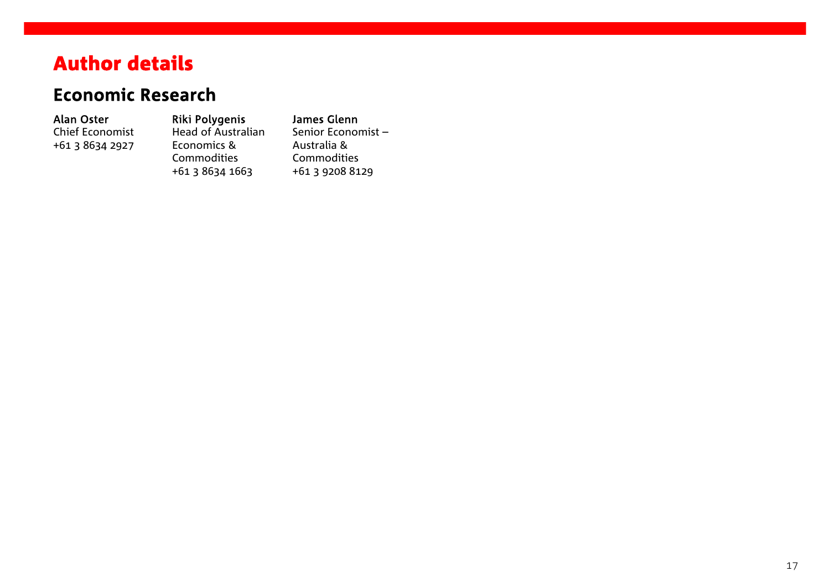# Author details

# **Economic Research**

### Alan Oster

Chief Economist +61 3 8634 2927

Riki Polygenis Head of Australian Economics & Commodities +61 3 8634 1663

James Glenn Senior Economist – Australia & Commodities +61 3 9208 8129